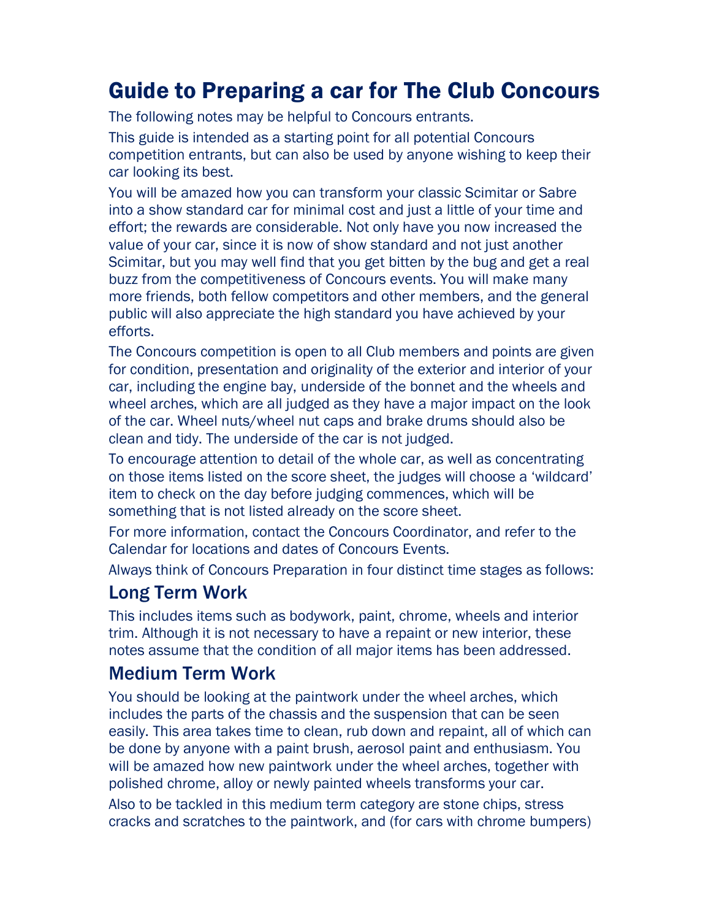# Guide to Preparing a car for The Club Concours

The following notes may be helpful to Concours entrants.

This guide is intended as a starting point for all potential Concours competition entrants, but can also be used by anyone wishing to keep their car looking its best.

You will be amazed how you can transform your classic Scimitar or Sabre into a show standard car for minimal cost and just a little of your time and effort; the rewards are considerable. Not only have you now increased the value of your car, since it is now of show standard and not just another Scimitar, but you may well find that you get bitten by the bug and get a real buzz from the competitiveness of Concours events. You will make many more friends, both fellow competitors and other members, and the general public will also appreciate the high standard you have achieved by your efforts.

The Concours competition is open to all Club members and points are given for condition, presentation and originality of the exterior and interior of your car, including the engine bay, underside of the bonnet and the wheels and wheel arches, which are all judged as they have a major impact on the look of the car. Wheel nuts/wheel nut caps and brake drums should also be clean and tidy. The underside of the car is not judged.

To encourage attention to detail of the whole car, as well as concentrating on those items listed on the score sheet, the judges will choose a 'wildcard' item to check on the day before judging commences, which will be something that is not listed already on the score sheet.

For more information, contact the Concours Coordinator, and refer to the Calendar for locations and dates of Concours Events.

Always think of Concours Preparation in four distinct time stages as follows:

#### Long Term Work

This includes items such as bodywork, paint, chrome, wheels and interior trim. Although it is not necessary to have a repaint or new interior, these notes assume that the condition of all major items has been addressed.

## Medium Term Work

You should be looking at the paintwork under the wheel arches, which includes the parts of the chassis and the suspension that can be seen easily. This area takes time to clean, rub down and repaint, all of which can be done by anyone with a paint brush, aerosol paint and enthusiasm. You will be amazed how new paintwork under the wheel arches, together with polished chrome, alloy or newly painted wheels transforms your car.

Also to be tackled in this medium term category are stone chips, stress cracks and scratches to the paintwork, and (for cars with chrome bumpers)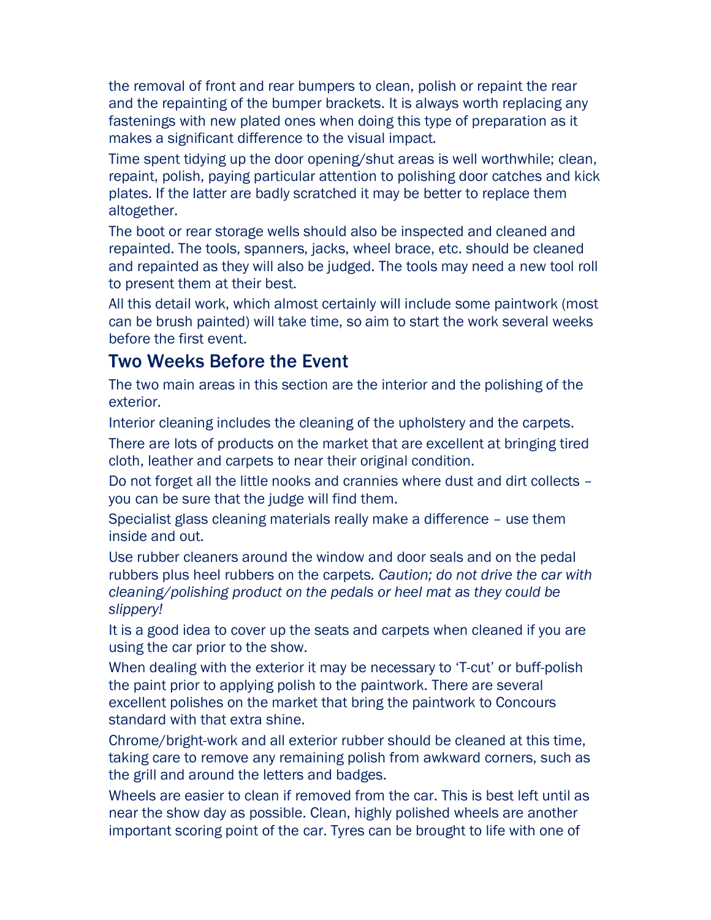the removal of front and rear bumpers to clean, polish or repaint the rear and the repainting of the bumper brackets. It is always worth replacing any fastenings with new plated ones when doing this type of preparation as it makes a significant difference to the visual impact.

Time spent tidying up the door opening/shut areas is well worthwhile; clean, repaint, polish, paying particular attention to polishing door catches and kick plates. If the latter are badly scratched it may be better to replace them altogether.

The boot or rear storage wells should also be inspected and cleaned and repainted. The tools, spanners, jacks, wheel brace, etc. should be cleaned and repainted as they will also be judged. The tools may need a new tool roll to present them at their best.

All this detail work, which almost certainly will include some paintwork (most can be brush painted) will take time, so aim to start the work several weeks before the first event.

#### Two Weeks Before the Event

The two main areas in this section are the interior and the polishing of the exterior.

Interior cleaning includes the cleaning of the upholstery and the carpets.

There are lots of products on the market that are excellent at bringing tired cloth, leather and carpets to near their original condition.

Do not forget all the little nooks and crannies where dust and dirt collects – you can be sure that the judge will find them.

Specialist glass cleaning materials really make a difference – use them inside and out.

Use rubber cleaners around the window and door seals and on the pedal rubbers plus heel rubbers on the carpets. Caution; do not drive the car with cleaning/polishing product on the pedals or heel mat as they could be slippery!

It is a good idea to cover up the seats and carpets when cleaned if you are using the car prior to the show.

When dealing with the exterior it may be necessary to 'T-cut' or buff-polish the paint prior to applying polish to the paintwork. There are several excellent polishes on the market that bring the paintwork to Concours standard with that extra shine.

Chrome/bright-work and all exterior rubber should be cleaned at this time, taking care to remove any remaining polish from awkward corners, such as the grill and around the letters and badges.

Wheels are easier to clean if removed from the car. This is best left until as near the show day as possible. Clean, highly polished wheels are another important scoring point of the car. Tyres can be brought to life with one of